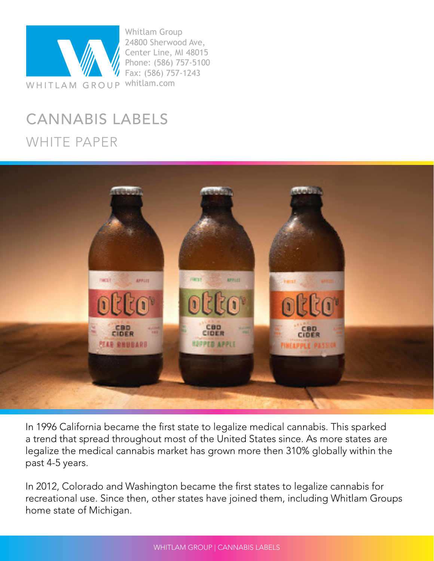

Whitlam Group 24800 Sherwood Ave, Center Line, MI 48015 Phone: (586) 757-5100 Fax: (586) 757-1243

# CANNABIS LABELS WHITE PAPER



In 1996 California became the first state to legalize medical cannabis. This sparked a trend that spread throughout most of the United States since. As more states are legalize the medical cannabis market has grown more then 310% globally within the past 4-5 years.

In 2012, Colorado and Washington became the first states to legalize cannabis for recreational use. Since then, other states have joined them, including Whitlam Groups home state of Michigan.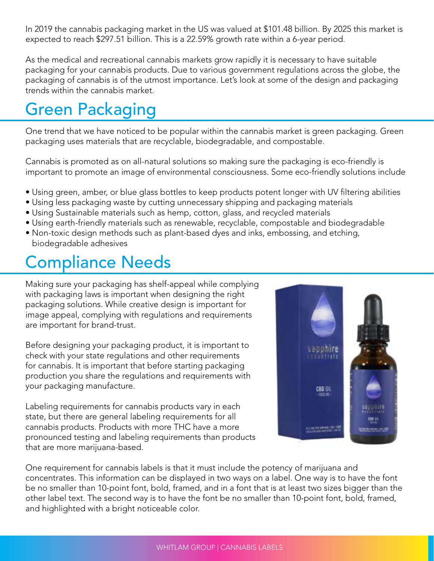In 2019 the cannabis packaging market in the US was valued at \$101.48 billion. By 2025 this market is expected to reach \$297.51 billion. This is a 22.59% growth rate within a 6-year period.

As the medical and recreational cannabis markets grow rapidly it is necessary to have suitable packaging for your cannabis products. Due to various government regulations across the globe, the packaging of cannabis is of the utmost importance. Let's look at some of the design and packaging trends within the cannabis market.

# Green Packaging

One trend that we have noticed to be popular within the cannabis market is green packaging. Green packaging uses materials that are recyclable, biodegradable, and compostable.

Cannabis is promoted as on all-natural solutions so making sure the packaging is eco-friendly is important to promote an image of environmental consciousness. Some eco-friendly solutions include

- Using green, amber, or blue glass bottles to keep products potent longer with UV filtering abilities
- Using less packaging waste by cutting unnecessary shipping and packaging materials
- Using Sustainable materials such as hemp, cotton, glass, and recycled materials
- Using earth-friendly materials such as renewable, recyclable, compostable and biodegradable
- Non-toxic design methods such as plant-based dyes and inks, embossing, and etching, biodegradable adhesives

# Compliance Needs

Making sure your packaging has shelf-appeal while complying with packaging laws is important when designing the right packaging solutions. While creative design is important for image appeal, complying with regulations and requirements are important for brand-trust.

Before designing your packaging product, it is important to check with your state regulations and other requirements for cannabis. It is important that before starting packaging production you share the regulations and requirements with your packaging manufacture.

Labeling requirements for cannabis products vary in each state, but there are general labeling requirements for all cannabis products. Products with more THC have a more pronounced testing and labeling requirements than products that are more marijuana-based.



One requirement for cannabis labels is that it must include the potency of marijuana and concentrates. This information can be displayed in two ways on a label. One way is to have the font be no smaller than 10-point font, bold, framed, and in a font that is at least two sizes bigger than the other label text. The second way is to have the font be no smaller than 10-point font, bold, framed, and highlighted with a bright noticeable color.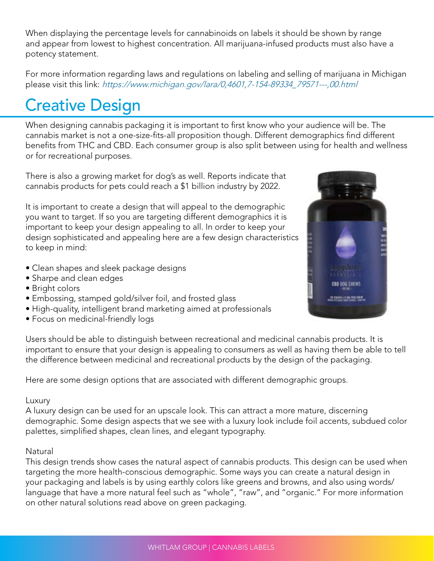When displaying the percentage levels for cannabinoids on labels it should be shown by range and appear from lowest to highest concentration. All marijuana-infused products must also have a potency statement.

For more information regarding laws and regulations on labeling and selling of marijuana in Michigan please visit this link: https://www.michigan.gov/lara/0,4601,7-154-89334\_79571---,00.html

# Creative Design

When designing cannabis packaging it is important to first know who your audience will be. The cannabis market is not a one-size-fits-all proposition though. Different demographics find different benefits from THC and CBD. Each consumer group is also split between using for health and wellness or for recreational purposes.

There is also a growing market for dog's as well. Reports indicate that cannabis products for pets could reach a \$1 billion industry by 2022.

It is important to create a design that will appeal to the demographic you want to target. If so you are targeting different demographics it is important to keep your design appealing to all. In order to keep your design sophisticated and appealing here are a few design characteristics to keep in mind:

- Clean shapes and sleek package designs
- Sharpe and clean edges
- Bright colors
- Embossing, stamped gold/silver foil, and frosted glass
- High-quality, intelligent brand marketing aimed at professionals
- Focus on medicinal-friendly logs



Users should be able to distinguish between recreational and medicinal cannabis products. It is important to ensure that your design is appealing to consumers as well as having them be able to tell the difference between medicinal and recreational products by the design of the packaging.

Here are some design options that are associated with different demographic groups.

#### Luxury

A luxury design can be used for an upscale look. This can attract a more mature, discerning demographic. Some design aspects that we see with a luxury look include foil accents, subdued color palettes, simplified shapes, clean lines, and elegant typography.

## Natural

This design trends show cases the natural aspect of cannabis products. This design can be used when targeting the more health-conscious demographic. Some ways you can create a natural design in your packaging and labels is by using earthly colors like greens and browns, and also using words/ language that have a more natural feel such as "whole", "raw", and "organic." For more information on other natural solutions read above on green packaging.